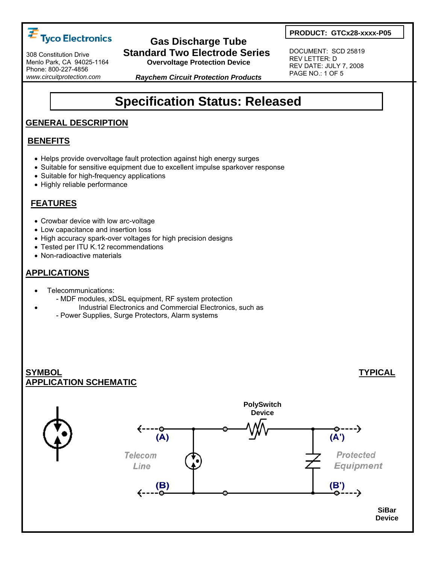# **Tyco Electronics**

308 Constitution Drive Menlo Park, CA 94025-1164 Phone: 800-227-4856 *www.circuitprotection.com* 

## **Gas Discharge Tube Standard Two Electrode Series**

**Overvoltage Protection Device** 

 **PRODUCT: GTCx28-xxxx-P05** 

 DOCUMENT: SCD 25819 REV LETTER: D REV DATE: JULY 7, 2008 PAGE NO.: 1 OF 5

*Raychem Circuit Protection Products*

## **Specification Status: Released**

## **GENERAL DESCRIPTION**

## **BENEFITS**

- Helps provide overvoltage fault protection against high energy surges
- Suitable for sensitive equipment due to excellent impulse sparkover response
- Suitable for high-frequency applications
- Highly reliable performance

## **FEATURES**

- Crowbar device with low arc-voltage
- Low capacitance and insertion loss
- High accuracy spark-over voltages for high precision designs
- Tested per ITU K.12 recommendations
- Non-radioactive materials

## **APPLICATIONS**

- Telecommunications:
	- MDF modules, xDSL equipment, RF system protection
		- Industrial Electronics and Commercial Electronics, such as
	- Power Supplies, Surge Protectors, Alarm systems

#### **SYMBOL TYPICAL APPLICATION SCHEMATIC**

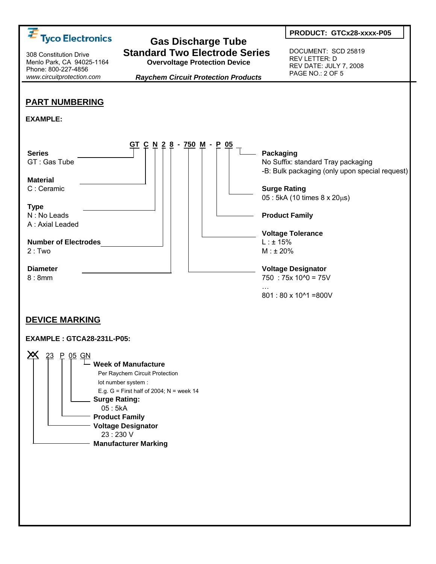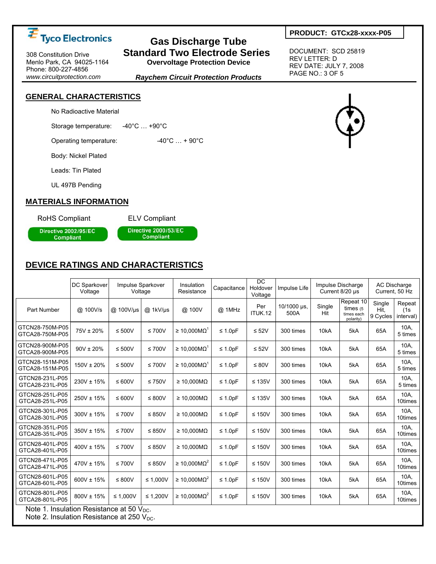# **Tyco Electronics**

308 Constitution Drive Menlo Park, CA 94025-1164 Phone: 800-227-4856 *www.circuitprotection.com* 

## **Gas Discharge Tube Standard Two Electrode Series**

**Overvoltage Protection Device** 

 DOCUMENT: SCD 25819 REV LETTER: D REV DATE: JULY 7, 2008 PAGE NO.: 3 OF 5

*Raychem Circuit Protection Products*

## **GENERAL CHARACTERISTICS**

No Radioactive Material

Storage temperature: -40°C … +90°C

Operating temperature:  $-40^{\circ}$ C ... + 90°C

Body: Nickel Plated

Leads: Tin Plated

UL 497B Pending

#### **MATERIALS INFORMATION**

RoHS Compliant ELV Compliant

l

**Directive 2002/95/EC Compliant** 



## **DEVICE RATINGS AND CHARACTERISTICS**

|                                                                                                 | DC Sparkover<br>Voltage | Impulse Sparkover<br>Voltage |               | Insulation<br>Resistance       | Capacitance   | <b>DC</b><br>Holdover<br>Voltage | Impulse Life        |               | Impulse Discharge<br>Current 8/20 µs                | AC Discharge<br>Current, 50 Hz |                            |
|-------------------------------------------------------------------------------------------------|-------------------------|------------------------------|---------------|--------------------------------|---------------|----------------------------------|---------------------|---------------|-----------------------------------------------------|--------------------------------|----------------------------|
| Part Number                                                                                     | @ 100V/s                | @ 100V/us                    | @ 1kV/us      | @ 100V                         | @ 1MHz        | Per<br>ITUK.12                   | 10/1000 us.<br>500A | Single<br>Hit | Repeat 10<br>times $(5)$<br>times each<br>polarity) | Single<br>Hit.<br>9 Cycles     | Repeat<br>(1s<br>interval) |
| GTCN28-750M-P05<br>GTCA28-750M-P05                                                              | 75V ± 20%               | $\leq 500V$                  | $\leq 700$ V  | $\geq 10,000 \text{M}\Omega^1$ | $\leq 1.0$ pF | $\leq 52V$                       | 300 times           | 10kA          | 5kA                                                 | 65A                            | 10A.<br>5 times            |
| GTCN28-900M-P05<br>GTCA28-900M-P05                                                              | $90V \pm 20%$           | $\leq 500V$                  | $\leq 700$ V  | $\geq 10,000 \text{M}\Omega^1$ | $\leq 1.0$ pF | $\leq 52V$                       | 300 times           | 10kA          | 5kA                                                 | 65A                            | 10A,<br>5 times            |
| GTCN28-151M-P05<br>GTCA28-151M-P05                                                              | 150V ± 20%              | $\leq 500V$                  | $\leq 700$ V  | $\geq 10.000 \text{M}\Omega^1$ | $\leq 1.0$ pF | $\leq 80V$                       | 300 times           | 10kA          | 5kA                                                 | 65A                            | 10A.<br>5 times            |
| GTCN28-231L-P05<br>GTCA28-231L-P05                                                              | $230V \pm 15%$          | $\leq 600V$                  | $\leq 750$ V  | $\geq 10,000M\Omega$           | $\leq 1.0$ pF | $\leq 135V$                      | 300 times           | 10kA          | 5kA                                                 | 65A                            | 10A.<br>5 times            |
| GTCN28-251L-P05<br>GTCA28-251L-P05                                                              | 250V ± 15%              | ≤ 600 $V$                    | $\leq 800V$   | $\geq 10.000 \text{M}\Omega$   | $\leq 1.0$ pF | $\leq 135V$                      | 300 times           | 10kA          | 5kA                                                 | 65A                            | 10A.<br>10times            |
| GTCN28-301L-P05<br>GTCA28-301L-P05                                                              | 300V ± 15%              | $\leq 700V$                  | ≤ 850 $V$     | $\geq 10,000 \text{M}\Omega$   | $\leq 1.0$ pF | $≤ 150V$                         | 300 times           | 10kA          | 5kA                                                 | 65A                            | 10A.<br>10times            |
| GTCN28-351L-P05<br>GTCA28-351L-P05                                                              | 350V ± 15%              | $\leq 700V$                  | ≤ 850 $V$     | $\geq 10.000 \text{M}\Omega$   | $\leq 1.0$ pF | ≤ 150 $V$                        | 300 times           | 10kA          | 5kA                                                 | 65A                            | 10A.<br>10times            |
| GTCN28-401L-P05<br>GTCA28-401L-P05                                                              | $400V \pm 15%$          | $\leq 700V$                  | ≤ 850 $V$     | $\geq 10.000 \text{M}\Omega$   | $\leq 1.0$ pF | ≤ 150 $V$                        | 300 times           | 10kA          | 5kA                                                 | 65A                            | 10A.<br>10times            |
| GTCN28-471L-P05<br>GTCA28-471L-P05                                                              | 470V ± 15%              | $\leq 700V$                  | $\leq$ 850V   | $\geq 10.000 \text{M}\Omega^2$ | $\leq 1.0$ pF | ≤ 150 $V$                        | 300 times           | 10kA          | 5kA                                                 | 65A                            | 10A.<br>10times            |
| GTCN28-601L-P05<br>GTCA28-601L-P05                                                              | $600V \pm 15%$          | $\leq 800V$                  | $\leq 1.000V$ | $\geq 10,000 \text{M}\Omega^2$ | $\leq 1.0$ pF | $≤ 150V$                         | 300 times           | 10kA          | 5kA                                                 | 65A                            | 10A.<br>10times            |
| GTCN28-801L-P05<br>GTCA28-801L-P05                                                              | 800V ± 15%              | ≤ 1,000 $V$                  | ≤ 1,200 $V$   | $\geq 10,000 \text{M}\Omega^2$ | $\leq 1.0$ pF | $≤ 150V$                         | 300 times           | 10kA          | 5kA                                                 | 65A                            | 10A.<br>10times            |
| Note 1. Insulation Resistance at 50 $V_{\text{DC}}$ .<br>Neto 3, Inquistion Desistance of 350 V |                         |                              |               |                                |               |                                  |                     |               |                                                     |                                |                            |



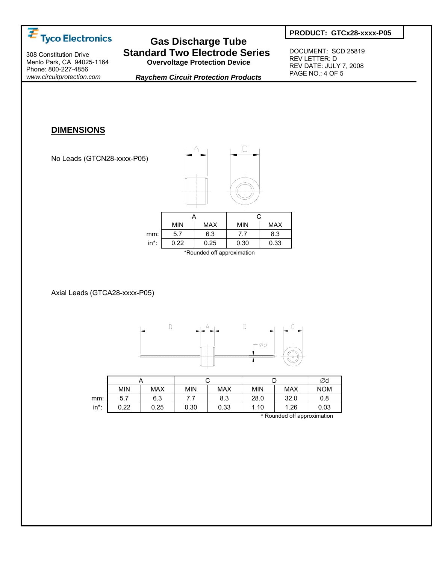

308 Constitution Drive Menlo Park, CA 94025-1164 Phone: 800-227-4856 *www.circuitprotection.com* 

## **Gas Discharge Tube Standard Two Electrode Series**

**Overvoltage Protection Device**  *Raychem Circuit Protection Products*  **PRODUCT: GTCx28-xxxx-P05** 

 DOCUMENT: SCD 25819 REV LETTER: D REV DATE: JULY 7, 2008 PAGE NO.: 4 OF 5

#### **DIMENSIONS**



|          |                | m          | C              |            |  |
|----------|----------------|------------|----------------|------------|--|
|          | <b>MIN</b>     | <b>MAX</b> | <b>MIN</b>     | <b>MAX</b> |  |
| mm:      | 5.7            | 6.3        | 7.7            | 8.3        |  |
| $in^*$ : | 0.22           | 0.25       | 0.30           | 0.33       |  |
|          | $\overline{a}$ | $\cdots$   | ٠<br>$\cdot$ . |            |  |

C

\*Rounded off approximation

Axial Leads (GTCA28-xxxx-P05)



|          |            |            |            |      |            | ∅d         |            |
|----------|------------|------------|------------|------|------------|------------|------------|
|          | <b>MIN</b> | <b>MAX</b> | <b>MIN</b> | MAX  | <b>MIN</b> | <b>MAX</b> | <b>NOM</b> |
| mm:      | 5.7        | 6.3        |            | 8.3  | 28.0       | 32.0       | 0.8        |
| $in^*$ : | 0.22       | 0.25       | 0.30       | 0.33 | 1.10       | 1.26       | 0.03       |

\* Rounded off approximation